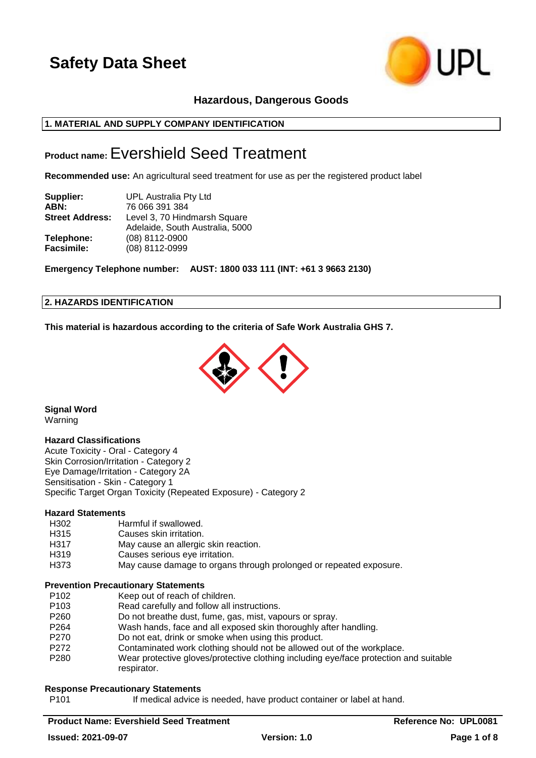

# **Hazardous, Dangerous Goods**

# **1. MATERIAL AND SUPPLY COMPANY IDENTIFICATION**

# **Product name:**Evershield Seed Treatment

**Recommended use:** An agricultural seed treatment for use as per the registered product label

| Supplier:              | UPL Australia Pty Ltd           |
|------------------------|---------------------------------|
| ABN:                   | 76 066 391 384                  |
| <b>Street Address:</b> | Level 3, 70 Hindmarsh Square    |
|                        | Adelaide, South Australia, 5000 |
| Telephone:             | (08) 8112-0900                  |
| Facsimile:             | (08) 8112-0999                  |

**Emergency Telephone number: AUST: 1800 033 111 (INT: +61 3 9663 2130)**

#### **2. HAZARDS IDENTIFICATION**

**This material is hazardous according to the criteria of Safe Work Australia GHS 7.**



**Signal Word** Warning

## **Hazard Classifications**

Acute Toxicity - Oral - Category 4 Skin Corrosion/Irritation - Category 2 Eye Damage/Irritation - Category 2A Sensitisation - Skin - Category 1 Specific Target Organ Toxicity (Repeated Exposure) - Category 2

#### **Hazard Statements**

- H302 Harmful if swallowed.
- H315 Causes skin irritation.
- H317 May cause an allergic skin reaction.
- H319 Causes serious eye irritation.
- H373 May cause damage to organs through prolonged or repeated exposure.

#### **Prevention Precautionary Statements**

- P102 Keep out of reach of children.
- P103 Read carefully and follow all instructions.
- P260 Do not breathe dust, fume, gas, mist, vapours or spray.
- P264 Wash hands, face and all exposed skin thoroughly after handling.
- P270 Do not eat, drink or smoke when using this product.
- P272 Contaminated work clothing should not be allowed out of the workplace.
- P280 Wear protective gloves/protective clothing including eye/face protection and suitable respirator.

## **Response Precautionary Statements**

P101 If medical advice is needed, have product container or label at hand.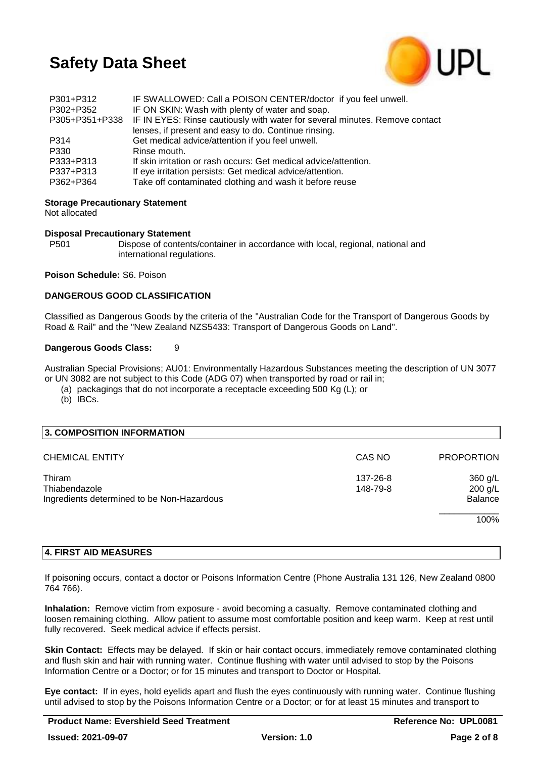

| P301+P312<br>P302+P352 | IF SWALLOWED: Call a POISON CENTER/doctor if you feel unwell.<br>IF ON SKIN: Wash with plenty of water and soap. |
|------------------------|------------------------------------------------------------------------------------------------------------------|
|                        | P305+P351+P338 IF IN EYES: Rinse cautiously with water for several minutes. Remove contact                       |
|                        | lenses, if present and easy to do. Continue rinsing.                                                             |
| P314                   | Get medical advice/attention if you feel unwell.                                                                 |
| P330                   | Rinse mouth.                                                                                                     |
| P333+P313              | If skin irritation or rash occurs: Get medical advice/attention.                                                 |
| P337+P313              | If eye irritation persists: Get medical advice/attention.                                                        |
| P362+P364              | Take off contaminated clothing and wash it before reuse                                                          |

## **Storage Precautionary Statement**

Not allocated

# **Disposal Precautionary Statement**

Dispose of contents/container in accordance with local, regional, national and international regulations.

**Poison Schedule:** S6. Poison

## **DANGEROUS GOOD CLASSIFICATION**

Classified as Dangerous Goods by the criteria of the "Australian Code for the Transport of Dangerous Goods by Road & Rail" and the "New Zealand NZS5433: Transport of Dangerous Goods on Land".

## **Dangerous Goods Class:** 9

Australian Special Provisions; AU01: Environmentally Hazardous Substances meeting the description of UN 3077 or UN 3082 are not subject to this Code (ADG 07) when transported by road or rail in;

(a) packagings that do not incorporate a receptacle exceeding 500 Kg (L); or

(b) IBCs.

| 3. COMPOSITION INFORMATION                                            |                      |                                      |
|-----------------------------------------------------------------------|----------------------|--------------------------------------|
| <b>CHEMICAL ENTITY</b>                                                | CAS NO               | <b>PROPORTION</b>                    |
| Thiram<br>Thiabendazole<br>Ingredients determined to be Non-Hazardous | 137-26-8<br>148-79-8 | 360 g/L<br>200 g/L<br><b>Balance</b> |
|                                                                       |                      | 100%                                 |

## **4. FIRST AID MEASURES**

If poisoning occurs, contact a doctor or Poisons Information Centre (Phone Australia 131 126, New Zealand 0800 764 766).

**Inhalation:** Remove victim from exposure - avoid becoming a casualty. Remove contaminated clothing and loosen remaining clothing. Allow patient to assume most comfortable position and keep warm. Keep at rest until fully recovered. Seek medical advice if effects persist.

**Skin Contact:** Effects may be delayed. If skin or hair contact occurs, immediately remove contaminated clothing and flush skin and hair with running water. Continue flushing with water until advised to stop by the Poisons Information Centre or a Doctor; or for 15 minutes and transport to Doctor or Hospital.

**Eye contact:** If in eyes, hold eyelids apart and flush the eyes continuously with running water. Continue flushing until advised to stop by the Poisons Information Centre or a Doctor; or for at least 15 minutes and transport to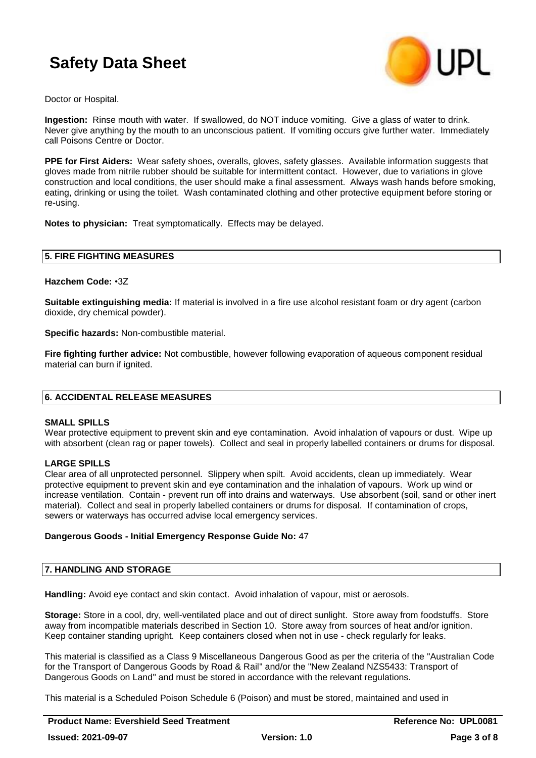

Doctor or Hospital.

**Ingestion:** Rinse mouth with water. If swallowed, do NOT induce vomiting. Give a glass of water to drink. Never give anything by the mouth to an unconscious patient. If vomiting occurs give further water. Immediately call Poisons Centre or Doctor.

**PPE for First Aiders:** Wear safety shoes, overalls, gloves, safety glasses. Available information suggests that gloves made from nitrile rubber should be suitable for intermittent contact. However, due to variations in glove construction and local conditions, the user should make a final assessment. Always wash hands before smoking, eating, drinking or using the toilet. Wash contaminated clothing and other protective equipment before storing or re-using.

**Notes to physician:** Treat symptomatically. Effects may be delayed.

#### **5. FIRE FIGHTING MEASURES**

**Hazchem Code:** •3Z

**Suitable extinguishing media:** If material is involved in a fire use alcohol resistant foam or dry agent (carbon dioxide, dry chemical powder).

**Specific hazards:** Non-combustible material.

**Fire fighting further advice:** Not combustible, however following evaporation of aqueous component residual material can burn if ignited.

## **6. ACCIDENTAL RELEASE MEASURES**

#### **SMALL SPILLS**

Wear protective equipment to prevent skin and eye contamination. Avoid inhalation of vapours or dust. Wipe up with absorbent (clean rag or paper towels). Collect and seal in properly labelled containers or drums for disposal.

## **LARGE SPILLS**

Clear area of all unprotected personnel. Slippery when spilt. Avoid accidents, clean up immediately. Wear protective equipment to prevent skin and eye contamination and the inhalation of vapours. Work up wind or increase ventilation. Contain - prevent run off into drains and waterways. Use absorbent (soil, sand or other inert material). Collect and seal in properly labelled containers or drums for disposal. If contamination of crops, sewers or waterways has occurred advise local emergency services.

#### **Dangerous Goods - Initial Emergency Response Guide No:** 47

#### **7. HANDLING AND STORAGE**

**Handling:** Avoid eye contact and skin contact. Avoid inhalation of vapour, mist or aerosols.

**Storage:** Store in a cool, dry, well-ventilated place and out of direct sunlight. Store away from foodstuffs. Store away from incompatible materials described in Section 10. Store away from sources of heat and/or ignition. Keep container standing upright. Keep containers closed when not in use - check regularly for leaks.

This material is classified as a Class 9 Miscellaneous Dangerous Good as per the criteria of the "Australian Code for the Transport of Dangerous Goods by Road & Rail" and/or the "New Zealand NZS5433: Transport of Dangerous Goods on Land" and must be stored in accordance with the relevant regulations.

This material is a Scheduled Poison Schedule 6 (Poison) and must be stored, maintained and used in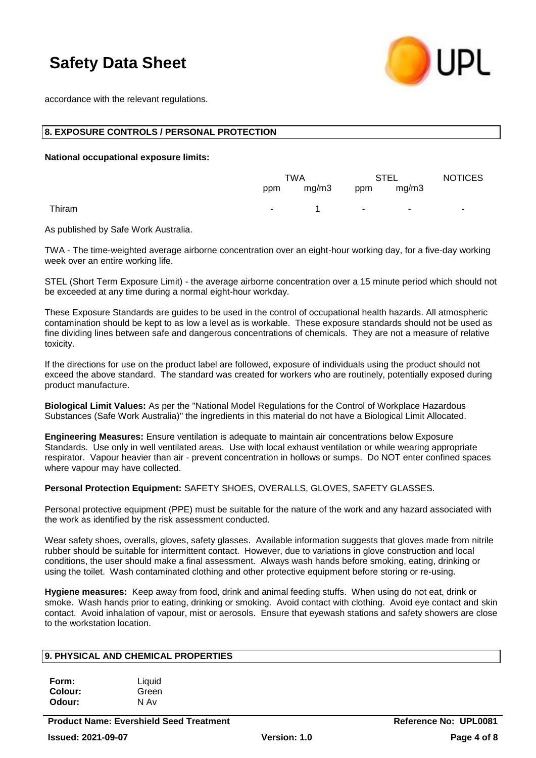

accordance with the relevant regulations.

#### **8. EXPOSURE CONTROLS / PERSONAL PROTECTION**

**National occupational exposure limits:**

|        | TWA |                     | <b>STEL</b>                |        | <b>NOTICES</b> |
|--------|-----|---------------------|----------------------------|--------|----------------|
|        |     | ppm mg/m3 ppm mg/m3 |                            |        |                |
| Thiram |     | $  1$               | and the state of the state | $\sim$ | ٠              |

As published by Safe Work Australia.

TWA - The time-weighted average airborne concentration over an eight-hour working day, for a five-day working week over an entire working life.

STEL (Short Term Exposure Limit) - the average airborne concentration over a 15 minute period which should not be exceeded at any time during a normal eight-hour workday.

These Exposure Standards are guides to be used in the control of occupational health hazards. All atmospheric contamination should be kept to as low a level as is workable. These exposure standards should not be used as fine dividing lines between safe and dangerous concentrations of chemicals. They are not a measure of relative toxicity.

If the directions for use on the product label are followed, exposure of individuals using the product should not exceed the above standard. The standard was created for workers who are routinely, potentially exposed during product manufacture.

**Biological Limit Values:** As per the "National Model Regulations for the Control of Workplace Hazardous Substances (Safe Work Australia)" the ingredients in this material do not have a Biological Limit Allocated.

**Engineering Measures:** Ensure ventilation is adequate to maintain air concentrations below Exposure Standards. Use only in well ventilated areas. Use with local exhaust ventilation or while wearing appropriate respirator. Vapour heavier than air - prevent concentration in hollows or sumps. Do NOT enter confined spaces where vapour may have collected.

**Personal Protection Equipment:** SAFETY SHOES, OVERALLS, GLOVES, SAFETY GLASSES.

Personal protective equipment (PPE) must be suitable for the nature of the work and any hazard associated with the work as identified by the risk assessment conducted.

Wear safety shoes, overalls, gloves, safety glasses. Available information suggests that gloves made from nitrile rubber should be suitable for intermittent contact. However, due to variations in glove construction and local conditions, the user should make a final assessment. Always wash hands before smoking, eating, drinking or using the toilet. Wash contaminated clothing and other protective equipment before storing or re-using.

**Hygiene measures:** Keep away from food, drink and animal feeding stuffs. When using do not eat, drink or smoke. Wash hands prior to eating, drinking or smoking. Avoid contact with clothing. Avoid eye contact and skin contact. Avoid inhalation of vapour, mist or aerosols. Ensure that eyewash stations and safety showers are close to the workstation location.

## **9. PHYSICAL AND CHEMICAL PROPERTIES**

| Form:   | Liquid |
|---------|--------|
| Colour: | Green  |
| Odour:  | N Av   |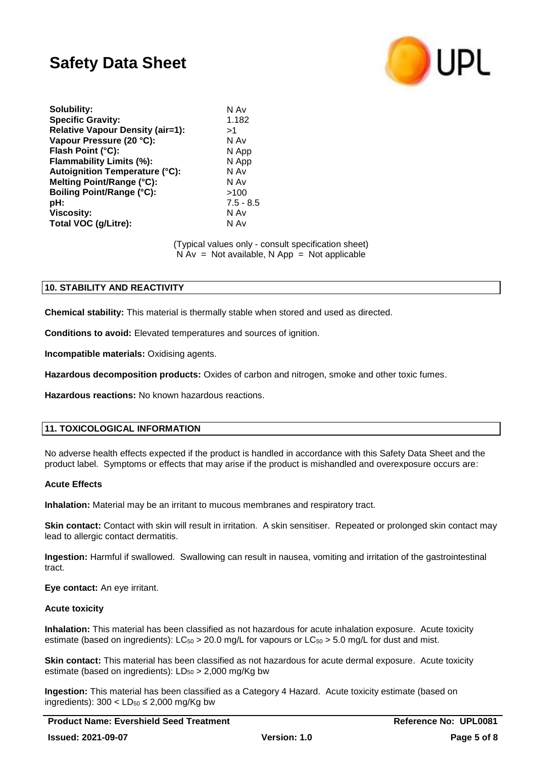

| <b>Specific Gravity:</b><br>1.182<br><b>Relative Vapour Density (air=1):</b><br>>1<br>Vapour Pressure (20 °C):<br>N Av<br>Flash Point (°C):<br>N App<br>N App<br>Flammability Limits (%):<br>N Av<br><b>Autoignition Temperature (°C):</b><br>Melting Point/Range (°C):<br>N Av<br><b>Boiling Point/Range (°C):</b><br>>100<br>pH:<br><b>Viscosity:</b><br>N Av<br>Total VOC (g/Litre):<br>N Av | Solubility: | N Av        |
|-------------------------------------------------------------------------------------------------------------------------------------------------------------------------------------------------------------------------------------------------------------------------------------------------------------------------------------------------------------------------------------------------|-------------|-------------|
|                                                                                                                                                                                                                                                                                                                                                                                                 |             |             |
|                                                                                                                                                                                                                                                                                                                                                                                                 |             |             |
|                                                                                                                                                                                                                                                                                                                                                                                                 |             |             |
|                                                                                                                                                                                                                                                                                                                                                                                                 |             |             |
|                                                                                                                                                                                                                                                                                                                                                                                                 |             |             |
|                                                                                                                                                                                                                                                                                                                                                                                                 |             |             |
|                                                                                                                                                                                                                                                                                                                                                                                                 |             |             |
|                                                                                                                                                                                                                                                                                                                                                                                                 |             |             |
|                                                                                                                                                                                                                                                                                                                                                                                                 |             | $7.5 - 8.5$ |
|                                                                                                                                                                                                                                                                                                                                                                                                 |             |             |
|                                                                                                                                                                                                                                                                                                                                                                                                 |             |             |

(Typical values only - consult specification sheet)  $N Av = Not available, N App = Not applicable$ 

## **10. STABILITY AND REACTIVITY**

**Chemical stability:** This material is thermally stable when stored and used as directed.

**Conditions to avoid:** Elevated temperatures and sources of ignition.

**Incompatible materials:** Oxidising agents.

**Hazardous decomposition products:** Oxides of carbon and nitrogen, smoke and other toxic fumes.

**Hazardous reactions:** No known hazardous reactions.

## **11. TOXICOLOGICAL INFORMATION**

No adverse health effects expected if the product is handled in accordance with this Safety Data Sheet and the product label. Symptoms or effects that may arise if the product is mishandled and overexposure occurs are:

## **Acute Effects**

**Inhalation:** Material may be an irritant to mucous membranes and respiratory tract.

**Skin contact:** Contact with skin will result in irritation. A skin sensitiser. Repeated or prolonged skin contact may lead to allergic contact dermatitis.

**Ingestion:** Harmful if swallowed. Swallowing can result in nausea, vomiting and irritation of the gastrointestinal tract.

**Eye contact:** An eye irritant.

## **Acute toxicity**

**Inhalation:** This material has been classified as not hazardous for acute inhalation exposure. Acute toxicity estimate (based on ingredients):  $LC_{50} > 20.0$  mg/L for vapours or  $LC_{50} > 5.0$  mg/L for dust and mist.

**Skin contact:** This material has been classified as not hazardous for acute dermal exposure. Acute toxicity estimate (based on ingredients):  $LD_{50} > 2,000$  mg/Kg bw

**Ingestion:** This material has been classified as a Category 4 Hazard. Acute toxicity estimate (based on ingredients):  $300 < LD_{50} \leq 2,000$  mg/Kg bw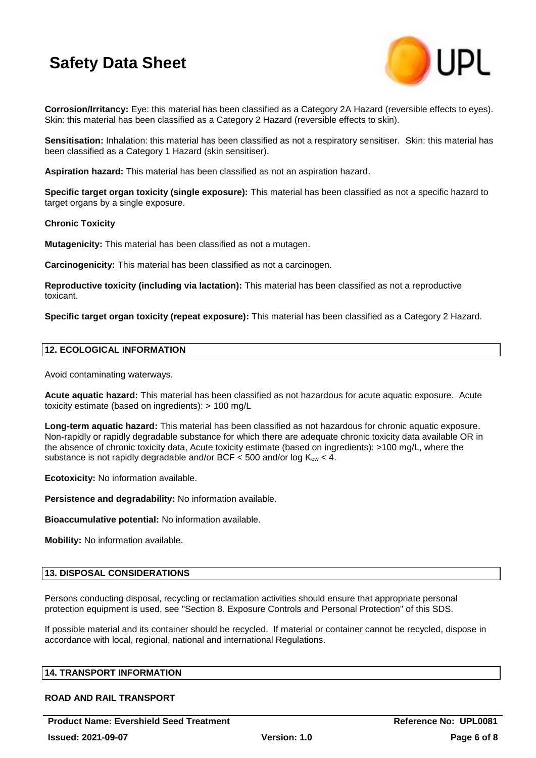

**Corrosion/Irritancy:** Eye: this material has been classified as a Category 2A Hazard (reversible effects to eyes). Skin: this material has been classified as a Category 2 Hazard (reversible effects to skin).

**Sensitisation:** Inhalation: this material has been classified as not a respiratory sensitiser. Skin: this material has been classified as a Category 1 Hazard (skin sensitiser).

**Aspiration hazard:** This material has been classified as not an aspiration hazard.

**Specific target organ toxicity (single exposure):** This material has been classified as not a specific hazard to target organs by a single exposure.

#### **Chronic Toxicity**

**Mutagenicity:** This material has been classified as not a mutagen.

**Carcinogenicity:** This material has been classified as not a carcinogen.

**Reproductive toxicity (including via lactation):** This material has been classified as not a reproductive toxicant.

**Specific target organ toxicity (repeat exposure):** This material has been classified as a Category 2 Hazard.

## **12. ECOLOGICAL INFORMATION**

Avoid contaminating waterways.

**Acute aquatic hazard:** This material has been classified as not hazardous for acute aquatic exposure. Acute toxicity estimate (based on ingredients): > 100 mg/L

**Long-term aquatic hazard:** This material has been classified as not hazardous for chronic aquatic exposure. Non-rapidly or rapidly degradable substance for which there are adequate chronic toxicity data available OR in the absence of chronic toxicity data, Acute toxicity estimate (based on ingredients): >100 mg/L, where the substance is not rapidly degradable and/or BCF  $<$  500 and/or log  $K_{ow}$   $<$  4.

**Ecotoxicity:** No information available.

**Persistence and degradability:** No information available.

**Bioaccumulative potential:** No information available.

**Mobility:** No information available.

#### **13. DISPOSAL CONSIDERATIONS**

Persons conducting disposal, recycling or reclamation activities should ensure that appropriate personal protection equipment is used, see "Section 8. Exposure Controls and Personal Protection" of this SDS.

If possible material and its container should be recycled. If material or container cannot be recycled, dispose in accordance with local, regional, national and international Regulations.

#### **14. TRANSPORT INFORMATION**

# **ROAD AND RAIL TRANSPORT**

**Product Name: Evershield Seed Treatment Reference No: UPL0081**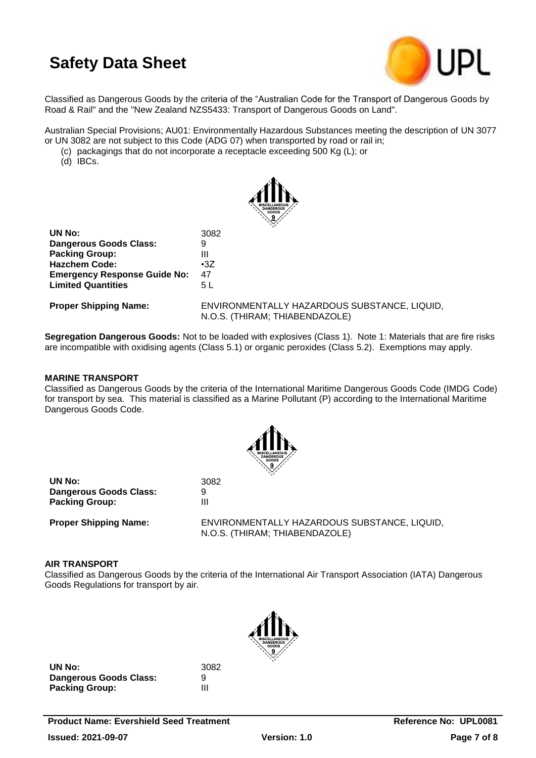

Classified as Dangerous Goods by the criteria of the "Australian Code for the Transport of Dangerous Goods by Road & Rail" and the "New Zealand NZS5433: Transport of Dangerous Goods on Land".

Australian Special Provisions; AU01: Environmentally Hazardous Substances meeting the description of UN 3077 or UN 3082 are not subject to this Code (ADG 07) when transported by road or rail in;

(c) packagings that do not incorporate a receptacle exceeding 500 Kg (L); or

(d) IBCs.



| UN No:                              | 3082       |
|-------------------------------------|------------|
| <b>Dangerous Goods Class:</b>       | 9          |
| <b>Packing Group:</b>               | Ш          |
| <b>Hazchem Code:</b>                | $\cdot 37$ |
| <b>Emergency Response Guide No:</b> | 47         |
| <b>Limited Quantities</b>           | 5 L        |
|                                     |            |

**Proper Shipping Name:** ENVIRONMENTALLY HAZARDOUS SUBSTANCE, LIQUID, N.O.S. (THIRAM; THIABENDAZOLE)

**Segregation Dangerous Goods:** Not to be loaded with explosives (Class 1). Note 1: Materials that are fire risks are incompatible with oxidising agents (Class 5.1) or organic peroxides (Class 5.2). Exemptions may apply.

#### **MARINE TRANSPORT**

Classified as Dangerous Goods by the criteria of the International Maritime Dangerous Goods Code (IMDG Code) for transport by sea. This material is classified as a Marine Pollutant (P) according to the International Maritime Dangerous Goods Code.



| UN No:                        | 3082 |
|-------------------------------|------|
| <b>Dangerous Goods Class:</b> | 9    |
| <b>Packing Group:</b>         | Ш    |

**Proper Shipping Name:** ENVIRONMENTALLY HAZARDOUS SUBSTANCE, LIQUID, N.O.S. (THIRAM; THIABENDAZOLE)

#### **AIR TRANSPORT**

Classified as Dangerous Goods by the criteria of the International Air Transport Association (IATA) Dangerous Goods Regulations for transport by air.



**UN No:** 3082 **Dangerous Goods Class:** 9 **Packing Group:** III